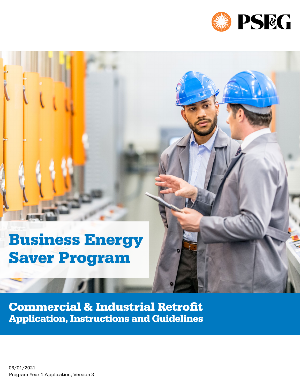

# Business Energy Saver Program

Commercial & Industrial Retrofit Application, Instructions and Guidelines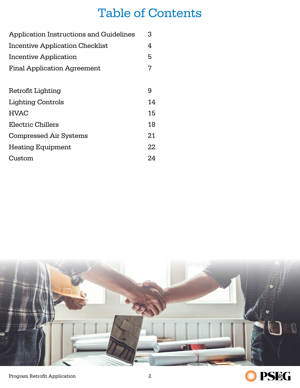### Table of Contents

| Application Instructions and Guidelines | 3  |  |  |  |  |  |
|-----------------------------------------|----|--|--|--|--|--|
| <b>Incentive Application Checklist</b>  |    |  |  |  |  |  |
| Incentive Application                   | 5  |  |  |  |  |  |
| <b>Final Application Agreement</b>      | 7  |  |  |  |  |  |
|                                         |    |  |  |  |  |  |
| Retrofit Lighting                       | 9  |  |  |  |  |  |
| <b>Lighting Controls</b>                | 14 |  |  |  |  |  |
| <b>HVAC</b>                             | 15 |  |  |  |  |  |
| Electric Chillers                       | 18 |  |  |  |  |  |
| <b>Compressed Air Systems</b>           | 21 |  |  |  |  |  |
| <b>Heating Equipment</b>                | 22 |  |  |  |  |  |
| Custom                                  | 24 |  |  |  |  |  |



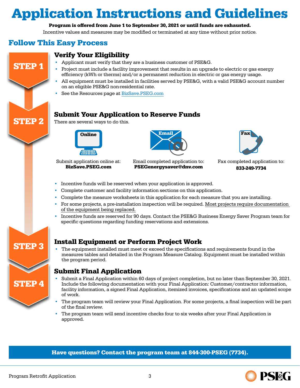### <span id="page-2-0"></span>Application Instructions and Guidelines

#### Program is offered from June 1 to September 30, 2021 or until funds are exhausted.

Incentive values and measures may be modified or terminated at any time without prior notice.

#### Follow This Easy Process

STEP 1

STEP 2



- Applicant must verify that they are a business customer of PSE&G.
- Project must include a facility improvement that results in an upgrade to electric or gas energy efficiency (kWh or therms) and/or a permanent reduction in electric or gas energy usage.
- All equipment must be installed in facilities served by PSE&G, with a valid PSE&G account number on an eligible PSE&G non-residential rate.
- See the Resources page at [BizSave.PSEG.com](http://BizSave.PSEG.com)

#### Submit Your Application to Reserve Funds

There are several ways to do this.



Submit application online at: [BizSave.PSEG.com](mailto:BizSave.PSEG.com?subject=)



Email completed application to: [PSEGenergysaver@dnv.com](mailto:PSEGenergysaver%40dnv.com?subject=)



Fax completed application to: 833-249-7734

- Incentive funds will be reserved when your application is approved.
- Complete customer and facility information sections on this application.
- Complete the measure worksheets in this application for each measure that you are installing.
- For some projects, a pre-installation inspection will be required. Most projects require documentation of the equipment being replaced.
- Incentive funds are reserved for 90 days. Contact the PSE&G Business Energy Saver Program team for specific questions regarding funding reservations and extensions.



### STEP 3 Install Equipment or Perform Project Work

• The equipment installed must meet or exceed the specifications and requirements found in the measures tables and detailed in the Program Measure Catalog. Equipment must be installed within the program period.

#### Submit Final Application

- Submit a Final Application within 60 days of project completion, but no later than September 30, 2021. Include the following documentation with your Final Application: Customer/contractor information, facility information, a signed Final Application, itemized invoices, specifications and an updated scope of work.
- The program team will review your Final Application. For some projects, a final inspection will be part of the final review.
- The program team will send incentive checks four to six weeks after your Final Application is approved.

Have questions? Contact the program team at 844-300-PSEG (7734).

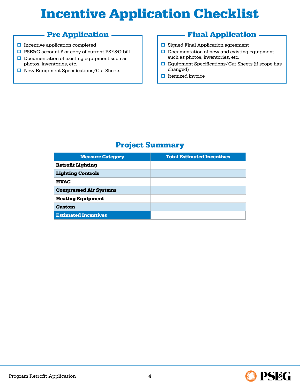## <span id="page-3-0"></span>Incentive Application Checklist

#### Pre Application

- $\Box$  Incentive application completed
- $\Box$  PSE&G account # or copy of current PSE&G bill
- $\Box$  Documentation of existing equipment such as photos, inventories, etc.
- **□** New Equipment Specifications/Cut Sheets

#### Final Application

- $\Box$  Signed Final Application agreement
- $\Box$  Documentation of new and existing equipment such as photos, inventories, etc.
- $\Box$  Equipment Specifications/Cut Sheets (if scope has changed)
- $\Box$  Itemized invoice

### Project Summary

| <b>Measure Category</b>       | <b>Total Estimated Incentives</b> |
|-------------------------------|-----------------------------------|
| <b>Retrofit Lighting</b>      |                                   |
| <b>Lighting Controls</b>      |                                   |
| <b>HVAC</b>                   |                                   |
| <b>Compressed Air Systems</b> |                                   |
| <b>Heating Equipment</b>      |                                   |
| <b>Custom</b>                 |                                   |
| <b>Estimated Incentives</b>   |                                   |

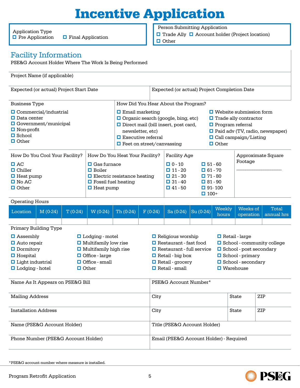## Incentive Application

<span id="page-4-0"></span>Application Type  $\Box$  Pre Application

 $\Box$  Final Application

Person Submitting Application

 $\Box$  Trade Ally  $\Box$  Account holder (Project location)

**O**ther

#### Facility Information

PSE&G Account Holder Where The Work Is Being Performed

#### Project Name (if applicable)

| Expected (or actual) Project Start Date                                                                                                 |                                                                                                                                                                                                                                                                                                       |           |                                                                                                                                                               |                                                                                                                                                                                                                                                                                                                                                                                                | Expected (or actual) Project Completion Date                                                                                                                                                                                                                                                                              |                                         |                                                                                                                                                                                                                      |                        |                 |                       |                     |
|-----------------------------------------------------------------------------------------------------------------------------------------|-------------------------------------------------------------------------------------------------------------------------------------------------------------------------------------------------------------------------------------------------------------------------------------------------------|-----------|---------------------------------------------------------------------------------------------------------------------------------------------------------------|------------------------------------------------------------------------------------------------------------------------------------------------------------------------------------------------------------------------------------------------------------------------------------------------------------------------------------------------------------------------------------------------|---------------------------------------------------------------------------------------------------------------------------------------------------------------------------------------------------------------------------------------------------------------------------------------------------------------------------|-----------------------------------------|----------------------------------------------------------------------------------------------------------------------------------------------------------------------------------------------------------------------|------------------------|-----------------|-----------------------|---------------------|
| <b>Business Type</b>                                                                                                                    |                                                                                                                                                                                                                                                                                                       |           |                                                                                                                                                               |                                                                                                                                                                                                                                                                                                                                                                                                |                                                                                                                                                                                                                                                                                                                           | How Did You Hear About the Program?     |                                                                                                                                                                                                                      |                        |                 |                       |                     |
| $\Box$ Commercial/industrial<br>$\Box$ Data center<br>$\Box$ Government/municipal<br>$\Box$ Non-profit<br>$\Box$ School<br>$\Box$ Other |                                                                                                                                                                                                                                                                                                       |           |                                                                                                                                                               | $\Box$ Email marketing<br>$\Box$ Website submission form<br>$\Box$ Organic search (google, bing, etc)<br>$\Box$ Trade ally contractor<br>$\Box$ Direct mail (bill insert, post card,<br>$\Box$ Program referral<br>$\Box$ Paid adv (TV, radio, newspaper)<br>newsletter, etc)<br>$\Box$ Executive referral<br>$\Box$ Call campaign/Listing<br>$\Box$ Other<br>$\Box$ Feet on street/canvassing |                                                                                                                                                                                                                                                                                                                           |                                         |                                                                                                                                                                                                                      |                        |                 |                       |                     |
| How Do You Cool Your Facility?<br>$\Box$ AC<br>$\Box$ Chiller<br>$\Box$ Heat pump<br>$\Box$ No AC<br>$\Box$ Other                       |                                                                                                                                                                                                                                                                                                       |           | How Do You Heat Your Facility?<br>$\Box$ Gas furnace<br>$\Box$ Boiler<br>$\Box$ Electric resistance heating<br>$\Box$ Fossil fuel heating<br>$\Box$ Heat pump |                                                                                                                                                                                                                                                                                                                                                                                                |                                                                                                                                                                                                                                                                                                                           |                                         | <b>Facility Age</b><br>$\Box$ 0 - 10<br>$\Box$ 51 - 60<br>$\Box$ 11 - 20<br>$\Box$ 61 - 70<br>$\Box$ 21 - 30<br>$\Box$ 71 - 80<br>$\Box$ 31 - 40<br>$\Box$ 81 - 90<br>$\Box$ 41 - 50<br>$\Box$ 91-100<br>$\Box$ 100+ |                        |                 | Footage               | Approximate Square  |
| <b>Operating Hours</b>                                                                                                                  |                                                                                                                                                                                                                                                                                                       |           |                                                                                                                                                               |                                                                                                                                                                                                                                                                                                                                                                                                |                                                                                                                                                                                                                                                                                                                           |                                         |                                                                                                                                                                                                                      |                        |                 |                       |                     |
| Location                                                                                                                                | $M(0-24)$                                                                                                                                                                                                                                                                                             | $T(0-24)$ | $W(0-24)$                                                                                                                                                     | Th (0-24)                                                                                                                                                                                                                                                                                                                                                                                      | $F(0-24)$                                                                                                                                                                                                                                                                                                                 |                                         | $Sa(0-24)$                                                                                                                                                                                                           | $\overline{Su}$ (0-24) | Weekly<br>hours | Weeks of<br>operation | Total<br>annual hrs |
|                                                                                                                                         |                                                                                                                                                                                                                                                                                                       |           |                                                                                                                                                               |                                                                                                                                                                                                                                                                                                                                                                                                |                                                                                                                                                                                                                                                                                                                           |                                         |                                                                                                                                                                                                                      |                        |                 |                       |                     |
| $\Box$ Hospital                                                                                                                         | Primary Building Type<br>$\Box$ Assembly<br><b>L</b> odging - motel<br>$\Box$ Multifamily low rise<br>$\Box$ Auto repair<br>$\Box$ Dormitory<br>$\Box$ Multifamily high rise<br>$\Box$ Office - large<br>$\Box$ Light industrial<br>$\Box$ Office - small<br><b>□</b> Lodging - hotel<br>$\Box$ Other |           |                                                                                                                                                               |                                                                                                                                                                                                                                                                                                                                                                                                | Religious worship<br>Retail - large<br>Restaurant - fast food<br>$\Box$ School - community college<br>□ School - post secondary<br>$\Box$ Restaurant - full service<br>$\Box$ School - primary<br>$\Box$ Retail - big box<br>□ School - secondary<br>$\Box$ Retail - grocery<br>$\Box$ Retail - small<br>$\Box$ Warehouse |                                         |                                                                                                                                                                                                                      |                        |                 |                       |                     |
| Name As It Appears on PSE&G Bill                                                                                                        |                                                                                                                                                                                                                                                                                                       |           |                                                                                                                                                               |                                                                                                                                                                                                                                                                                                                                                                                                |                                                                                                                                                                                                                                                                                                                           |                                         | PSE&G Account Number*                                                                                                                                                                                                |                        |                 |                       |                     |
| <b>Mailing Address</b>                                                                                                                  |                                                                                                                                                                                                                                                                                                       |           |                                                                                                                                                               | City                                                                                                                                                                                                                                                                                                                                                                                           |                                                                                                                                                                                                                                                                                                                           |                                         |                                                                                                                                                                                                                      |                        | <b>State</b>    | ZIP                   |                     |
| <b>Installation Address</b>                                                                                                             |                                                                                                                                                                                                                                                                                                       |           |                                                                                                                                                               | City<br>ZIP<br>State                                                                                                                                                                                                                                                                                                                                                                           |                                                                                                                                                                                                                                                                                                                           |                                         |                                                                                                                                                                                                                      |                        |                 |                       |                     |
| Name (PSE&G Account Holder)                                                                                                             |                                                                                                                                                                                                                                                                                                       |           |                                                                                                                                                               |                                                                                                                                                                                                                                                                                                                                                                                                |                                                                                                                                                                                                                                                                                                                           | Title (PSE&G Account Holder)            |                                                                                                                                                                                                                      |                        |                 |                       |                     |
| Phone Number (PSE&G Account Holder)                                                                                                     |                                                                                                                                                                                                                                                                                                       |           |                                                                                                                                                               |                                                                                                                                                                                                                                                                                                                                                                                                |                                                                                                                                                                                                                                                                                                                           | Email (PSE&G Account Holder) - Required |                                                                                                                                                                                                                      |                        |                 |                       |                     |

\*PSE&G account number where measure is installed.

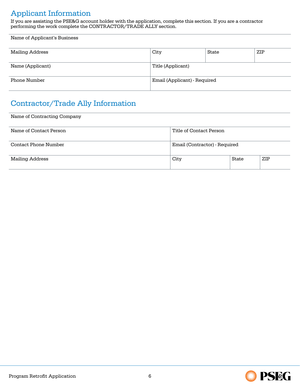### Applicant Information

If you are assisting the PSE&G account holder with the application, complete this section. If you are a contractor performing the work complete the CONTRACTOR/TRADE ALLY section.

| Name of Applicant's Business |                              |       |     |  |  |
|------------------------------|------------------------------|-------|-----|--|--|
| Mailing Address              | City                         | State | ZIP |  |  |
| Name (Applicant)             | Title (Applicant)            |       |     |  |  |
| Phone Number                 | Email (Applicant) - Required |       |     |  |  |

### Contractor/Trade Ally Information

Name of Contracting Company

| Name of Contact Person | Title of Contact Person       |       |     |  |
|------------------------|-------------------------------|-------|-----|--|
| Contact Phone Number   | Email (Contractor) - Required |       |     |  |
| Mailing Address        | City                          | State | ZIP |  |

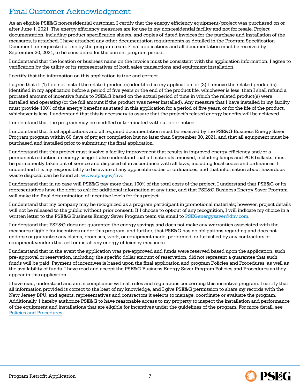#### Final Customer Acknowledgment

As an eligible PSE&G non-residential customer, I certify that the energy efficiency equipment/project was purchased on or after June 1, 2021. The energy efficiency measures are for use in my non-residential facility and not for resale. Project documentation, including product specification sheets, and copies of dated invoices for the purchase and installation of the measures, is attached. I have attached any other documentation requirements as detailed in the Program Specification Document, or requested of me by the program team. Final applications and all documentation must be received by September 30, 2021, to be considered for the current program period.

I understand that the location or business name on the invoice must be consistent with the application information. I agree to verification by the utility or its representatives of both sales transactions and equipment installation.

I certify that the information on this application is true and correct.

I agree that if: (1) I do not install the related product(s) identified in my application, or (2) I remove the related product(s) identified in my application before a period of five years or the end of the product life, whichever is less, then I shall refund a prorated amount of incentive funds to PSE&G based on the actual period of time in which the related product(s) were installed and operating (or the full amount if the product was never installed). Any measure that I have installed in my facility must provide 100% of the energy benefits as stated in this application for a period of five years, or for the life of the product, whichever is less. I understand that this is necessary to assure that the project's related energy benefits will be achieved.

I understand that the program may be modified or terminated without prior notice.

I understand that final applications and all required documentation must be received by the PSE&G Business Energy Saver Program program within 60 days of project completion but no later than September 30, 2021, and that all equipment must be purchased and installed prior to submitting the final application.

I understand that this project must involve a facility improvement that results in improved energy efficiency and/or a permanent reduction in energy usage. I also understand that all materials removed, including lamps and PCB ballasts, must be permanently taken out of service and disposed of in accordance with all laws, including local codes and ordinances. I understand it is my responsibility to be aware of any applicable codes or ordinances, and that information about hazardous waste disposal can be found at: [www.epa.gov/hw.](https://www.epa.gov/hw)

I understand that in no case will PSE&G pay more than 100% of the total costs of the project. I understand that PSE&G or its representatives have the right to ask for additional information at any time, and that PSE&G Business Energy Saver Program will make the final determination of incentive levels for this project.

I understand that my company may be recognized as a program participant in promotional materials; however, project details will not be released to the public without prior consent. If I choose to opt-out of any recognition, I will indicate my choice in a written letter to the PSE&G Business Energy Saver Program team via email to [PSEGenergysaver@dnv.com.](mailto:PSEGenergysaver%40dnv.com?subject=)

I understand that PSE&G does not guarantee the energy savings and does not make any warranties associated with the measures eligible for incentives under this program, and further, that PSE&G has no obligations regarding and does not endorse or guarantee any claims, promises, work, or equipment made, performed, or furnished by any contractors or equipment vendors that sell or install any energy efficiency measures.

I understand that in the event the application was pre-approved and funds were reserved based upon the application, such pre- approval or reservation, including the specific dollar amount of reservation, did not represent a guarantee that such funds will be paid. Payment of incentives is based upon the final application and program Policies and Procedures, as well as the availability of funds. I have read and accept the PSE&G Business Energy Saver Program Policies and Procedures as they appear in this application.

I have read, understood and am in compliance with all rules and regulations concerning this incentive program. I certify that all information provided is correct to the best of my knowledge, and I give PSE&G permission to share my records with the New Jersey BPU, and agents, representatives and contractors it selects to manage, coordinate or evaluate the program. Additionally, I hereby authorize PSE&G to have reasonable access to my property to inspect the installation and performance of the equipment and installations that are eligible for incentives under the guidelines of the program. For more detail, see Policies and Procedures.



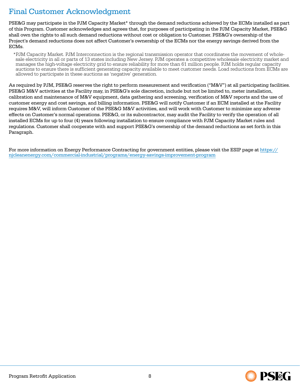### Final Customer Acknowledgment

PSE&G may participate in the PJM Capacity Market\* through the demand reductions achieved by the ECMs installed as part of this Program. Customer acknowledges and agrees that, for purposes of participating in the PJM Capacity Market, PSE&G shall own the rights to all such demand reductions without cost or obligation to Customer. PSE&G's ownership of the Project's demand reductions does not affect Customer's ownership of the ECMs nor the energy savings derived from the ECMs.

\*PJM Capacity Market. PJM Interconnection is the regional transmission operator that coordinates the movement of whole-<br>sale electricity in all or parts of 13 states including New Jersey. PJM operates a competitive wholesa manages the high-voltage electricity grid to ensure reliability for more than 61 million people. PJM holds regular capacity auctions to ensure there is sufficient generating capacity available to meet customer needs. Load reductions from ECMs are allowed to participate in these auctions as 'negative' generation.

As required by PJM, PSE&G reserves the right to perform measurement and verification ("M&V") at all participating facilities. PSE&G M&V activities at the Facility may, in PSE&G's sole discretion, include but not be limited to, meter installation, calibration and maintenance of M&V equipment, data gathering and screening, verification of M&V reports and the use of customer energy and cost savings, and billing information. PSE&G will notify Customer if an ECM installed at the Facility requires M&V, will inform Customer of the PSE&G M&V activities, and will work with Customer to minimize any adverse effects on Customer's normal operations. PSE&G, or its subcontractor, may audit the Facility to verify the operation of all installed ECMs for up to four (4) years following installation to ensure compliance with PJM Capacity Market rules and regulations. Customer shall cooperate with and support PSE&G's ownership of the demand reductions as set forth in this Paragraph.

For more information on Energy Performance Contracting for government entities, please visit the ESIP page at [https://](https://njcleanenergy.com/commercial-industrial/programs/energy-savings-improvement-program) [njcleanenergy.com/commercial-industrial/programs/energy-savings-improvement-program](https://njcleanenergy.com/commercial-industrial/programs/energy-savings-improvement-program)

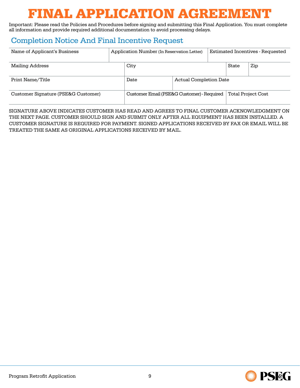## FINAL APPLICATION AGREEMENT

<span id="page-8-0"></span>Important: Please read the Policies and Procedures before signing and submitting this Final Application. You must complete all information and provide required additional documentation to avoid processing delays.

#### Completion Notice And Final Incentive Request

| Name of Applicant's Business        |  | Application Number (In Reservation Letter) |                               |  | <b>Estimated Incentives - Requested</b> |                           |  |
|-------------------------------------|--|--------------------------------------------|-------------------------------|--|-----------------------------------------|---------------------------|--|
| Mailing Address                     |  | City                                       |                               |  | State                                   | Zip                       |  |
| Print Name/Title                    |  | Date                                       | <b>Actual Completion Date</b> |  |                                         |                           |  |
| Customer Signature (PSE&G Customer) |  | Customer Email (PSE&G Customer) - Required |                               |  |                                         | <b>Total Project Cost</b> |  |

SIGNATURE ABOVE INDICATES CUSTOMER HAS READ AND AGREES TO FINAL CUSTOMER ACKNOWLEDGMENT ON THE NEXT PAGE. CUSTOMER SHOULD SIGN AND SUBMIT ONLY AFTER ALL EQUIPMENT HAS BEEN INSTALLED. A CUSTOMER SIGNATURE IS REQUIRED FOR PAYMENT. SIGNED APPLICATIONS RECEIVED BY FAX OR EMAIL WILL BE TREATED THE SAME AS ORIGINAL APPLICATIONS RECEIVED BY MAIL.

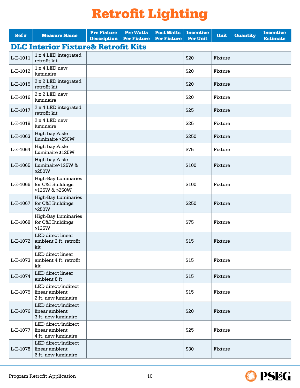### Retrofit Lighting

<span id="page-9-0"></span>

| Ref#     | <b>Measure Name</b>                                              | <b>Pre Fixture</b><br><b>Description</b> | <b>Pre Watts</b><br><b>Per Fixture</b> | <b>Post Watts</b><br><b>Per Fixture</b> | <b>Incentive</b><br><b>Per Unit</b> | <b>Unit</b> | <b>Quantity</b> | <b>Incentive</b><br><b>Estimate</b> |
|----------|------------------------------------------------------------------|------------------------------------------|----------------------------------------|-----------------------------------------|-------------------------------------|-------------|-----------------|-------------------------------------|
|          | <b>DLC Interior Fixture&amp; Retrofit Kits</b>                   |                                          |                                        |                                         |                                     |             |                 |                                     |
| L-E-1011 | 1 x 4 LED integrated<br>retrofit kit                             |                                          |                                        |                                         | \$20                                | Fixture     |                 |                                     |
| L-E-1012 | 1 x 4 LED new<br>luminaire                                       |                                          |                                        |                                         | \$20                                | Fixture     |                 |                                     |
| L-E-1015 | 2 x 2 LED integrated<br>retrofit kit                             |                                          |                                        |                                         | \$20                                | Fixture     |                 |                                     |
| L-E-1016 | 2 x 2 LED new<br>luminaire                                       |                                          |                                        |                                         | \$20                                | Fixture     |                 |                                     |
| L-E-1017 | 2 x 4 LED integrated<br>retrofit kit                             |                                          |                                        |                                         | \$25                                | Fixture     |                 |                                     |
| L-E-1018 | 2 x 4 LED new<br>luminaire                                       |                                          |                                        |                                         | \$25                                | Fixture     |                 |                                     |
| L-E-1063 | <b>High bay Aisle</b><br>Luminaire >250W                         |                                          |                                        |                                         | \$250                               | Fixture     |                 |                                     |
| L-E-1064 | <b>High bay Aisle</b><br>Luminaire ≤125W                         |                                          |                                        |                                         | \$75                                | Fixture     |                 |                                     |
| L-E-1065 | <b>High bay Aisle</b><br>Luminaire>125W &<br>≤250 $W$            |                                          |                                        |                                         | \$100                               | Fixture     |                 |                                     |
| L-E-1066 | <b>High-Bay Luminaries</b><br>for C&I Buildings<br>>125W & ≤250W |                                          |                                        |                                         | \$100                               | Fixture     |                 |                                     |
| L-E-1067 | <b>High-Bay Luminaries</b><br>for C&I Buildings<br>>250W         |                                          |                                        |                                         | \$250                               | Fixture     |                 |                                     |
| L-E-1068 | <b>High-Bay Luminaries</b><br>for C&I Buildings<br>$≤125W$       |                                          |                                        |                                         | \$75                                | Fixture     |                 |                                     |
| L-E-1072 | LED direct linear<br>ambient 2 ft. retrofit<br>kit               |                                          |                                        |                                         | \$15                                | Fixture     |                 |                                     |
| L-E-1073 | LED direct linear<br>ambient 4 ft. retrofit<br>kit               |                                          |                                        |                                         | \$15                                | Fixture     |                 |                                     |
| L-E-1074 | LED direct linear<br>ambient 8 ft                                |                                          |                                        |                                         | \$15                                | Fixture     |                 |                                     |
| L-E-1075 | LED direct/indirect<br>linear ambient<br>2 ft. new luminaire     |                                          |                                        |                                         | \$15                                | Fixture     |                 |                                     |
| L-E-1076 | LED direct/indirect<br>linear ambient<br>3 ft. new luminaire     |                                          |                                        |                                         | \$20                                | Fixture     |                 |                                     |
| L-E-1077 | LED direct/indirect<br>linear ambient<br>4 ft. new luminaire     |                                          |                                        |                                         | \$25                                | Fixture     |                 |                                     |
| L-E-1078 | LED direct/indirect<br>linear ambient<br>6 ft. new luminaire     |                                          |                                        |                                         | \$30                                | Fixture     |                 |                                     |

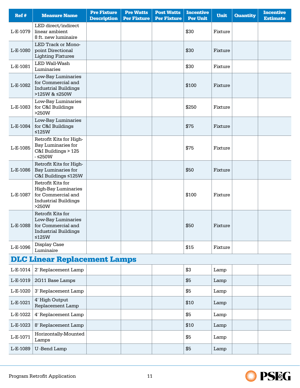| Ref#     | <b>Measure Name</b>                                                                                           | <b>Pre Fixture</b><br><b>Description</b> | <b>Pre Watts</b><br><b>Per Fixture</b> | <b>Post Watts</b><br><b>Per Fixture</b> | <b>Incentive</b><br><b>Per Unit</b> | <b>Unit</b> | <b>Quantity</b> | <b>Incentive</b><br><b>Estimate</b> |
|----------|---------------------------------------------------------------------------------------------------------------|------------------------------------------|----------------------------------------|-----------------------------------------|-------------------------------------|-------------|-----------------|-------------------------------------|
| L-E-1079 | LED direct/indirect<br>linear ambient<br>8 ft. new luminaire                                                  |                                          |                                        |                                         | \$30                                | Fixture     |                 |                                     |
| L-E-1080 | LED Track or Mono-<br>point Directional<br><b>Lighting Fixtures</b>                                           |                                          |                                        |                                         | \$30                                | Fixture     |                 |                                     |
| L-E-1081 | LED Wall-Wash<br>Luminaries                                                                                   |                                          |                                        |                                         | \$30                                | Fixture     |                 |                                     |
| L-E-1082 | Low-Bay Luminaries<br>for Commercial and<br><b>Industrial Buildings</b><br>>125W & ≤250W                      |                                          |                                        |                                         | \$100                               | Fixture     |                 |                                     |
| L-E-1083 | Low-Bay Luminaries<br>for C&I Buildings<br>>250W                                                              |                                          |                                        |                                         | \$250                               | Fixture     |                 |                                     |
| L-E-1084 | Low-Bay Luminaries<br>for C&I Buildings<br>$≤125W$                                                            |                                          |                                        |                                         | \$75                                | Fixture     |                 |                                     |
| L-E-1085 | Retrofit Kits for High-<br>Bay Luminaries for<br>C&I Buildings > 125<br>$ \leq$ 250W                          |                                          |                                        |                                         | \$75                                | Fixture     |                 |                                     |
| L-E-1086 | Retrofit Kits for High-<br>Bay Luminaries for<br>C&I Buildings ≤125W                                          |                                          |                                        |                                         | \$50                                | Fixture     |                 |                                     |
| L-E-1087 | Retrofit Kits for<br><b>High-Bay Luminaries</b><br>for Commercial and<br><b>Industrial Buildings</b><br>>250W |                                          |                                        |                                         | \$100                               | Fixture     |                 |                                     |
| L-E-1088 | Retrofit Kits for<br>Low-Bay Luminaries<br>for Commercial and<br><b>Industrial Buildings</b><br>$≤125W$       |                                          |                                        |                                         | \$50                                | Fixture     |                 |                                     |
| L-E-1096 | Display Case<br>Luminaire                                                                                     |                                          |                                        |                                         | \$15                                | Fixture     |                 |                                     |
|          | <b>DLC Linear Replacement Lamps</b>                                                                           |                                          |                                        |                                         |                                     |             |                 |                                     |
| L-E-1014 | 2' Replacement Lamp                                                                                           |                                          |                                        |                                         | \$3                                 | Lamp        |                 |                                     |
| L-E-1019 | 2G11 Base Lamps                                                                                               |                                          |                                        |                                         | \$5                                 | Lamp        |                 |                                     |
| L-E-1020 | 3' Replacement Lamp                                                                                           |                                          |                                        |                                         | \$5                                 | Lamp        |                 |                                     |
| L-E-1021 | 4' High Output<br>Replacement Lamp                                                                            |                                          |                                        |                                         | \$10                                | Lamp        |                 |                                     |
| L-E-1022 | 4' Replacement Lamp                                                                                           |                                          |                                        |                                         | \$5                                 | Lamp        |                 |                                     |
| L-E-1023 | 8' Replacement Lamp                                                                                           |                                          |                                        |                                         | \$10                                | Lamp        |                 |                                     |
| L-E-1071 | Horizontally-Mounted<br>Lamps                                                                                 |                                          |                                        |                                         | \$5                                 | Lamp        |                 |                                     |
| L-E-1089 | U-Bend Lamp                                                                                                   |                                          |                                        |                                         | \$5                                 | Lamp        |                 |                                     |

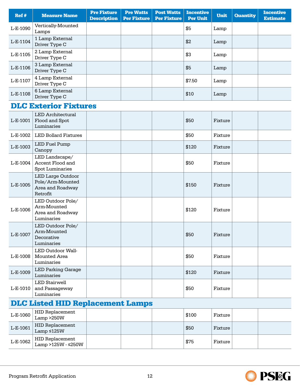| Ref #    | <b>Measure Name</b>              | <b>Pre Fixture</b><br><b>Description</b> | <b>Pre Watts</b><br><b>Per Fixture</b> | <b>Post Watts</b><br><b>Per Fixture</b> | <b>Incentive</b><br><b>Per Unit</b> | <b>Unit</b> | <b>Quantity</b> | <b>Incentive</b><br><b>Estimate</b> |
|----------|----------------------------------|------------------------------------------|----------------------------------------|-----------------------------------------|-------------------------------------|-------------|-----------------|-------------------------------------|
| L-E-1090 | Vertically-Mounted<br>Lamps      |                                          |                                        |                                         | \$5                                 | Lamp        |                 |                                     |
| L-E-1104 | 1 Lamp External<br>Driver Type C |                                          |                                        |                                         | \$2                                 | Lamp        |                 |                                     |
| L-E-1105 | 2 Lamp External<br>Driver Type C |                                          |                                        |                                         | \$3                                 | Lamp        |                 |                                     |
| L-E-1106 | 3 Lamp External<br>Driver Type C |                                          |                                        |                                         | \$5                                 | Lamp        |                 |                                     |
| L-E-1107 | 4 Lamp External<br>Driver Type C |                                          |                                        |                                         | \$7.50                              | Lamp        |                 |                                     |
| L-E-1108 | 6 Lamp External<br>Driver Type C |                                          |                                        |                                         | \$10                                | Lamp        |                 |                                     |

### DLC Exterior Fixtures

| L-E-1001                                | <b>LED</b> Architectural<br>Flood and Spot<br>Luminaries                     |  |  |  | \$50  | Fixture |  |  |  |
|-----------------------------------------|------------------------------------------------------------------------------|--|--|--|-------|---------|--|--|--|
| L-E-1002                                | <b>LED Bollard Fixtures</b>                                                  |  |  |  | \$50  | Fixture |  |  |  |
| L-E-1003                                | LED Fuel Pump<br>Canopy                                                      |  |  |  | \$120 | Fixture |  |  |  |
| L-E-1004                                | LED Landscape/<br>Accent Flood and<br><b>Spot Luminaries</b>                 |  |  |  | \$50  | Fixture |  |  |  |
| L-E-1005                                | <b>LED Large Outdoor</b><br>Pole/Arm-Mounted<br>Area and Roadway<br>Retrofit |  |  |  | \$150 | Fixture |  |  |  |
| L-E-1006                                | LED Outdoor Pole/<br>Arm-Mounted<br>Area and Roadway<br>Luminaries           |  |  |  | \$120 | Fixture |  |  |  |
| L-E-1007                                | LED Outdoor Pole/<br>Arm-Mounted<br>Decorative<br>Luminaries                 |  |  |  | \$50  | Fixture |  |  |  |
| L-E-1008                                | LED Outdoor Wall-<br>Mounted Area<br>Luminaries                              |  |  |  | \$50  | Fixture |  |  |  |
| L-E-1009                                | <b>LED Parking Garage</b><br>Luminaries                                      |  |  |  | \$120 | Fixture |  |  |  |
| L-E-1010                                | <b>LED Stairwell</b><br>and Passageway<br>Luminaries                         |  |  |  | \$50  | Fixture |  |  |  |
| <b>DLC Listed HID Replacement Lamps</b> |                                                                              |  |  |  |       |         |  |  |  |
| L-E-1060                                | <b>HID Replacement</b><br>Lamp > 250W                                        |  |  |  | \$100 | Fixture |  |  |  |
| L-E-1061                                | <b>HID Replacement</b><br>Lamp $\leq 125W$                                   |  |  |  | \$50  | Fixture |  |  |  |
| L-E-1062                                | <b>HID Replacement</b><br>Lamp >125W - ≤250W                                 |  |  |  | \$75  | Fixture |  |  |  |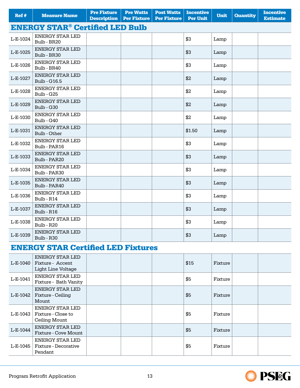| Ref #                                             | <b>Measure Name</b>                           | <b>Pre Fixture</b><br><b>Description</b> | <b>Pre Watts</b><br><b>Per Fixture</b> | <b>Post Watts</b><br><b>Per Fixture</b> | <b>Incentive</b><br><b>Per Unit</b> | <b>Unit</b> | <b>Quantity</b> | <b>Incentive</b><br><b>Estimate</b> |  |  |
|---------------------------------------------------|-----------------------------------------------|------------------------------------------|----------------------------------------|-----------------------------------------|-------------------------------------|-------------|-----------------|-------------------------------------|--|--|
| <b>ENERGY STAR<sup>®</sup> Certified LED Bulb</b> |                                               |                                          |                                        |                                         |                                     |             |                 |                                     |  |  |
| L-E-1024                                          | <b>ENERGY STAR LED</b><br>Bulb - BR20         |                                          |                                        |                                         | \$3                                 | Lamp        |                 |                                     |  |  |
| L-E-1025                                          | ENERGY STAR LED<br>Bulb - BR30                |                                          |                                        |                                         | \$3                                 | Lamp        |                 |                                     |  |  |
| L-E-1026                                          | <b>ENERGY STAR LED</b><br>Bulb - BR40         |                                          |                                        |                                         | \$3                                 | Lamp        |                 |                                     |  |  |
| L-E-1027                                          | <b>ENERGY STAR LED</b><br><b>Bulb - G16.5</b> |                                          |                                        |                                         | \$2                                 | Lamp        |                 |                                     |  |  |
| L-E-1028                                          | ENERGY STAR LED<br>Bulb - G25                 |                                          |                                        |                                         | \$2                                 | Lamp        |                 |                                     |  |  |
| L-E-1029                                          | <b>ENERGY STAR LED</b><br>Bulb - G30          |                                          |                                        |                                         | \$2                                 | Lamp        |                 |                                     |  |  |
| L-E-1030                                          | <b>ENERGY STAR LED</b><br>Bulb - G40          |                                          |                                        |                                         | \$2                                 | Lamp        |                 |                                     |  |  |
| L-E-1031                                          | ENERGY STAR LED<br>Bulb - Other               |                                          |                                        |                                         | \$1.50                              | Lamp        |                 |                                     |  |  |
| L-E-1032                                          | <b>ENERGY STAR LED</b><br>Bulb - PAR16        |                                          |                                        |                                         | \$3                                 | Lamp        |                 |                                     |  |  |
| L-E-1033                                          | ENERGY STAR LED<br>Bulb - PAR20               |                                          |                                        |                                         | \$3                                 | Lamp        |                 |                                     |  |  |
| L-E-1034                                          | <b>ENERGY STAR LED</b><br>Bulb - PAR30        |                                          |                                        |                                         | \$3                                 | Lamp        |                 |                                     |  |  |
| L-E-1035                                          | ENERGY STAR LED<br>Bulb - PAR40               |                                          |                                        |                                         | \$3                                 | Lamp        |                 |                                     |  |  |
| L-E-1036                                          | <b>ENERGY STAR LED</b><br>Bulb - R14          |                                          |                                        |                                         | \$3                                 | Lamp        |                 |                                     |  |  |
| L-E-1037                                          | <b>ENERGY STAR LED</b><br>Bulb - R16          |                                          |                                        |                                         | \$3                                 | Lamp        |                 |                                     |  |  |
| L-E-1038                                          | ENERGY STAR LED<br>Bulb - R20                 |                                          |                                        |                                         | \$3                                 | Lamp        |                 |                                     |  |  |
| L-E-1039                                          | <b>ENERGY STAR LED</b><br>Bulb - R30          |                                          |                                        |                                         | \$3                                 | Lamp        |                 |                                     |  |  |

#### ENERGY STAR Certified LED Fixtures

| L-E-1040 | ENERGY STAR LED<br>Fixture - Accent<br>Light Line Voltage     |  | \$15 | Fixture |  |
|----------|---------------------------------------------------------------|--|------|---------|--|
| L-E-1041 | ENERGY STAR LED<br>Fixture - Bath Vanity                      |  | \$5  | Fixture |  |
| L-E-1042 | ENERGY STAR LED<br>Fixture - Ceiling<br>Mount                 |  | \$5  | Fixture |  |
| L-E-1043 | <b>ENERGY STAR LED</b><br>Fixture - Close to<br>Ceiling Mount |  | \$5  | Fixture |  |
| L-E-1044 | <b>ENERGY STAR LED</b><br>Fixture - Cove Mount                |  | \$5  | Fixture |  |
| L-E-1045 | ENERGY STAR LED<br>Fixture - Decorative<br>Pendant            |  | \$5  | Fixture |  |

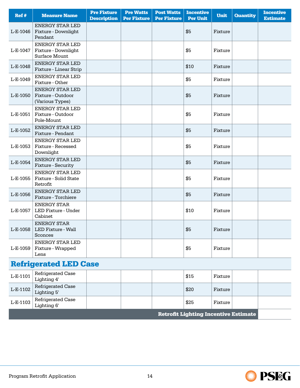| Ref#     | <b>Measure Name</b>                                            | <b>Pre Fixture</b><br><b>Description</b> | <b>Pre Watts</b><br><b>Per Fixture</b> | <b>Post Watts</b><br><b>Per Fixture</b> | <b>Incentive</b><br><b>Per Unit</b> | <b>Unit</b> | <b>Quantity</b> | <b>Incentive</b><br><b>Estimate</b> |
|----------|----------------------------------------------------------------|------------------------------------------|----------------------------------------|-----------------------------------------|-------------------------------------|-------------|-----------------|-------------------------------------|
| L-E-1046 | <b>ENERGY STAR LED</b><br>Fixture - Downlight<br>Pendant       |                                          |                                        |                                         | \$5                                 | Fixture     |                 |                                     |
| L-E-1047 | <b>ENERGY STAR LED</b><br>Fixture - Downlight<br>Surface Mount |                                          |                                        |                                         | \$5                                 | Fixture     |                 |                                     |
| L-E-1048 | <b>ENERGY STAR LED</b><br>Fixture - Linear Strip               |                                          |                                        |                                         | \$10                                | Fixture     |                 |                                     |
| L-E-1049 | <b>ENERGY STAR LED</b><br>Fixture - Other                      |                                          |                                        |                                         | \$5                                 | Fixture     |                 |                                     |
| L-E-1050 | <b>ENERGY STAR LED</b><br>Fixture - Outdoor<br>(Various Types) |                                          |                                        |                                         | \$5                                 | Fixture     |                 |                                     |
| L-E-1051 | <b>ENERGY STAR LED</b><br>Fixture - Outdoor<br>Pole-Mount      |                                          |                                        |                                         | \$5                                 | Fixture     |                 |                                     |
| L-E-1052 | <b>ENERGY STAR LED</b><br>Fixture - Pendant                    |                                          |                                        |                                         | \$5                                 | Fixture     |                 |                                     |
| L-E-1053 | <b>ENERGY STAR LED</b><br>Fixture - Recessed<br>Downlight      |                                          |                                        |                                         | \$5                                 | Fixture     |                 |                                     |
| L-E-1054 | <b>ENERGY STAR LED</b><br>Fixture - Security                   |                                          |                                        |                                         | \$5                                 | Fixture     |                 |                                     |
| L-E-1055 | <b>ENERGY STAR LED</b><br>Fixture - Solid State<br>Retrofit    |                                          |                                        |                                         | \$5                                 | Fixture     |                 |                                     |
| L-E-1056 | <b>ENERGY STAR LED</b><br>Fixture - Torchiere                  |                                          |                                        |                                         | \$5                                 | Fixture     |                 |                                     |
| L-E-1057 | <b>ENERGY STAR</b><br>LED Fixture - Under<br>Cabinet           |                                          |                                        |                                         | \$10                                | Fixture     |                 |                                     |
| L-E-1058 | <b>ENERGY STAR</b><br>LED Fixture - Wall<br>Sconces            |                                          |                                        |                                         | \$5                                 | Fixture     |                 |                                     |
| L-E-1059 | <b>ENERGY STAR LED</b><br>Fixture - Wrapped<br>Lens            |                                          |                                        |                                         | \$5                                 | Fixture     |                 |                                     |
|          | <b>Refrigerated LED Case</b>                                   |                                          |                                        |                                         |                                     |             |                 |                                     |
| L-E-1101 | Refrigerated Case<br>Lighting 4'                               |                                          |                                        |                                         | \$15                                | Fixture     |                 |                                     |
|          |                                                                |                                          |                                        |                                         |                                     |             |                 |                                     |

| <b>Retrofit Lighting Incentive Estimate</b> |                                         |  |  |  |       |         |  |  |
|---------------------------------------------|-----------------------------------------|--|--|--|-------|---------|--|--|
| L-E-1103                                    | Refrigerated Case<br>$\vert$ Lighting 6 |  |  |  | \$25  | Fixture |  |  |
| $L-E-1102$                                  | Refrigerated Case<br>Lighting 5'        |  |  |  | \$20  | Fixture |  |  |
| L-C-1101                                    | Lighting 4'                             |  |  |  | ن 1 ه | rixtule |  |  |

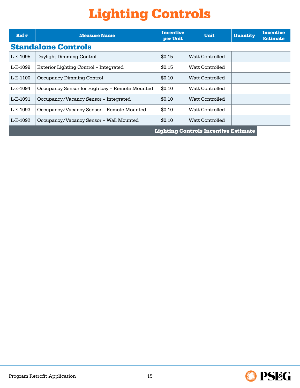## Lighting Controls

<span id="page-14-0"></span>

| Ref#     | <b>Measure Name</b>                            | <b>Incentive</b><br>per Unit | <b>Unit</b>                                 | <b>Quantity</b> | <b>Incentive</b><br><b>Estimate</b> |
|----------|------------------------------------------------|------------------------------|---------------------------------------------|-----------------|-------------------------------------|
|          | <b>Standalone Controls</b>                     |                              |                                             |                 |                                     |
| L-E-1095 | Daylight Dimming Control                       | \$0.15                       | Watt Controlled                             |                 |                                     |
| L-E-1099 | Exterior Lighting Control – Integrated         | \$0.15                       | Watt Controlled                             |                 |                                     |
| L-E-1100 | Occupancy Dimming Control                      | \$0.10                       | Watt Controlled                             |                 |                                     |
| L-E-1094 | Occupancy Sensor for High bay - Remote Mounted | \$0.10                       | Watt Controlled                             |                 |                                     |
| L-E-1091 | Occupancy/Vacancy Sensor – Integrated          | \$0.10                       | Watt Controlled                             |                 |                                     |
| L-E-1093 | Occupancy/Vacancy Sensor – Remote Mounted      | \$0.10                       | Watt Controlled                             |                 |                                     |
| L-E-1092 | Occupancy/Vacancy Sensor - Wall Mounted        | \$0.10                       | Watt Controlled                             |                 |                                     |
|          |                                                |                              | <b>Lighting Controls Incentive Estimate</b> |                 |                                     |

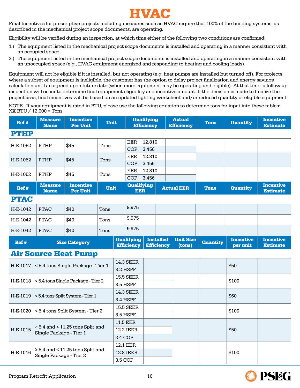

<span id="page-15-0"></span>Final Incentives for prescriptive projects including measures such as HVAC require that 100% of the building systems, as described in the mechanical project scope documents, are operating.

Eligibility will be verified during an inspection, at which time either of the following two conditions are confirmed:

- 1.) The equipment listed in the mechanical project scope documents is installed and operating in a manner consistent with an occupied space
- 2.) The equipment listed in the mechanical project scope documents is installed and operating in a manner consistent with an unoccupied space (e.g., HVAC equipment energized and responding to heating and cooling loads).

Equipment will not be eligible if it is installed, but not operating (e.g. heat pumps are installed but turned off). For projects where a subset of equipment is ineligible, the customer has the option to delay project finalization and energy savings calculation until an agreed-upon future date (when more equipment may be operating and eligible). At that time, a follow up inspection will occur to determine final equipment eligibility and incentive amount. If the decision is made to finalize the project as-is, final incentives will be based on an updated lighting worksheet and/or reduced quantity of eligible equipment.

NOTE - If your equipment is rated in BTU, please use the following equation to determine tons for input into these tables: XX BTU / 12,000 = Tons

| Ref#        | <b>Measure</b><br><b>Name</b> | <b>Incentive</b><br><b>Per Unit</b>                              | <b>Unit</b> |          |                                        | <b>Qualifying</b><br><b>Efficiency</b> |                                       | <b>Actual</b><br><b>Efficiency</b> | <b>Tons</b>     | <b>Quantity</b>              | <b>Incentive</b><br><b>Estimate</b> |
|-------------|-------------------------------|------------------------------------------------------------------|-------------|----------|----------------------------------------|----------------------------------------|---------------------------------------|------------------------------------|-----------------|------------------------------|-------------------------------------|
| <b>PTHP</b> |                               |                                                                  |             |          |                                        |                                        |                                       |                                    |                 |                              |                                     |
| H-E-1052    | PTHP                          | \$45                                                             | Tons        |          | <b>EER</b>                             | 12.810                                 |                                       |                                    |                 |                              |                                     |
|             |                               |                                                                  |             |          | <b>COP</b>                             | 3.456                                  |                                       |                                    |                 |                              |                                     |
| H-E-1052    | <b>PTHP</b>                   | \$45                                                             | Tons        |          | EER                                    | 12.810                                 |                                       |                                    |                 |                              |                                     |
|             |                               |                                                                  |             |          | <b>COP</b>                             | 3.456                                  |                                       |                                    |                 |                              |                                     |
| H-E-1052    | PTHP                          | \$45                                                             | Tons        |          | <b>EER</b><br><b>COP</b>               | 12.810<br>3.456                        |                                       |                                    |                 |                              |                                     |
| Ref#        | <b>Measure</b><br><b>Name</b> | <b>Incentive</b><br><b>Per Unit</b>                              | <b>Unit</b> |          | <b>Qualifying</b><br><b>EER</b>        |                                        |                                       | <b>Actual EER</b>                  | <b>Tons</b>     | <b>Quantity</b>              | <b>Incentive</b><br><b>Estimate</b> |
| <b>PTAC</b> |                               |                                                                  |             |          |                                        |                                        |                                       |                                    |                 |                              |                                     |
| H-E-1042    | <b>PTAC</b>                   | \$40                                                             | Tons        |          | 9.975                                  |                                        |                                       |                                    |                 |                              |                                     |
| H-E-1042    | <b>PTAC</b>                   | \$40                                                             | Tons        |          | 9.975                                  |                                        |                                       |                                    |                 |                              |                                     |
| H-E-1042    | <b>PTAC</b>                   | \$40                                                             | Tons        |          | 9.975                                  |                                        |                                       |                                    |                 |                              |                                     |
| Ref#        |                               | <b>Size Category</b>                                             |             |          | <b>Qualifying</b><br><b>Efficiency</b> |                                        | <b>Installed</b><br><b>Efficiency</b> | <b>Unit Size</b><br>(tons)         | <b>Quantity</b> | <b>Incentive</b><br>per unit | <b>Incentive</b><br><b>Estimate</b> |
|             |                               | <b>Air Source Heat Pump</b>                                      |             |          |                                        |                                        |                                       |                                    |                 |                              |                                     |
| H-E-1017    |                               | < 5.4 tons Single Package - Tier 1                               |             |          | <b>14.3 SEER</b>                       |                                        |                                       |                                    |                 | \$50                         |                                     |
|             |                               |                                                                  |             | 8.2 HSPF |                                        |                                        |                                       |                                    |                 |                              |                                     |
| H-E-1018    |                               | <5.4 tons Single Package - Tier 2                                |             |          | <b>15.5 SEER</b>                       |                                        |                                       |                                    |                 | \$100                        |                                     |
|             |                               |                                                                  |             |          | 8.5 HSPF                               |                                        |                                       |                                    |                 |                              |                                     |
| H-E-1019    |                               | <5.4 tons Split System - Tier 1                                  |             |          | <b>14.3 SEER</b><br>8.4 HSPF           |                                        |                                       |                                    |                 | \$60                         |                                     |
|             |                               |                                                                  |             |          | <b>15.5 SEER</b>                       |                                        |                                       |                                    |                 |                              |                                     |
| H-E-1020    |                               | < 5.4 tons Split System - Tier 2                                 |             |          | 8.5 HSPF                               |                                        |                                       |                                    |                 | \$100                        |                                     |
|             |                               |                                                                  |             |          | 11.5 EER                               |                                        |                                       |                                    |                 |                              |                                     |
| H-E-1015    |                               | $\geq$ 5.4 and < 11.25 tons Split and<br>Single Package - Tier 1 |             |          | <b>12.2 IEER</b>                       |                                        |                                       |                                    |                 | \$50                         |                                     |
|             |                               |                                                                  |             | 3.4 COP  |                                        |                                        |                                       |                                    |                 |                              |                                     |
|             |                               | $\geq$ 5.4 and < 11.25 tons Split and                            |             |          | 12.1 EER                               |                                        |                                       |                                    |                 |                              |                                     |
| H-E-1016    | Single Package - Tier 2       |                                                                  |             |          | <b>12.8 IEER</b>                       |                                        |                                       |                                    |                 | \$100                        |                                     |
|             |                               |                                                                  |             | 3.5 COP  |                                        |                                        |                                       |                                    |                 |                              |                                     |

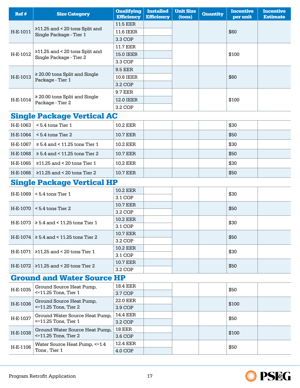| Ref #    | <b>Size Category</b>                                   | <b>Qualifying</b><br><b>Efficiency</b> | <b>Installed</b><br><b>Efficiency</b> | <b>Unit Size</b><br>(tons) | <b>Quantity</b> | <b>Incentive</b><br>per unit | <b>Incentive</b><br><b>Estimate</b> |
|----------|--------------------------------------------------------|----------------------------------------|---------------------------------------|----------------------------|-----------------|------------------------------|-------------------------------------|
|          |                                                        | <b>11.5 EER</b>                        |                                       |                            |                 |                              |                                     |
| H-E-1011 | $\geq$ 11.25 and < 20 tons Split and                   | <b>11.6 IEER</b>                       |                                       |                            |                 | \$60                         |                                     |
|          | Single Package - Tier 1                                | 3.3 COP                                |                                       |                            |                 |                              |                                     |
|          |                                                        | <b>11.7 EER</b>                        |                                       |                            |                 |                              |                                     |
| H-E-1012 | $\geq$ 11.25 and < 20 tons Split and                   | <b>15.0 IEER</b>                       |                                       |                            |                 | \$100                        |                                     |
|          | Single Package - Tier 2                                | 3.3 COP                                |                                       |                            |                 |                              |                                     |
|          |                                                        | <b>9.5 EER</b>                         |                                       |                            |                 |                              |                                     |
| H-E-1013 | $\geq$ 20.00 tons Split and Single                     | <b>10.6 IEER</b>                       |                                       |                            |                 | \$60                         |                                     |
|          | Package - Tier 1                                       | 3.2 COP                                |                                       |                            |                 |                              |                                     |
|          |                                                        | <b>9.7 EER</b>                         |                                       |                            |                 |                              |                                     |
| H-E-1014 | $\geq 20.00$ tons Split and Single<br>Package - Tier 2 | <b>12.0 IEER</b>                       |                                       |                            |                 | \$100                        |                                     |
|          |                                                        | 3.2 COP                                |                                       |                            |                 |                              |                                     |
|          | <b>Single Package Vertical AC</b>                      |                                        |                                       |                            |                 |                              |                                     |
| H-E-1063 | $< 5.4$ tons Tier 1                                    | <b>10.2 EER</b>                        |                                       |                            |                 | \$30                         |                                     |
| H-E-1064 | $< 5.4$ tons Tier 2                                    | <b>10.7 EER</b>                        |                                       |                            |                 | \$50                         |                                     |
| H-E-1067 | $\geq$ 5.4 and < 11.25 tons Tier 1                     | <b>10.2 EER</b>                        |                                       |                            |                 | \$30                         |                                     |
| H-E-1068 | $\geq$ 5.4 and < 11.25 tons Tier 2                     | <b>10.7 EER</b>                        |                                       |                            |                 | \$50                         |                                     |
| H-E-1065 | $\geq$ 11.25 and < 20 tons Tier 1                      | <b>10.2 EER</b>                        |                                       |                            |                 | \$30                         |                                     |
| H-E-1066 | $\geq$ 11.25 and < 20 tons Tier 2                      | <b>10.7 EER</b>                        |                                       |                            |                 | \$50                         |                                     |
|          | <b>Single Package Vertical HP</b>                      |                                        |                                       |                            |                 |                              |                                     |
|          |                                                        | <b>10.2 EER</b>                        |                                       |                            |                 |                              |                                     |
| H-E-1069 | $< 5.4$ tons Tier 1                                    | 3.1 COP                                |                                       |                            |                 | \$30                         |                                     |
| H-E-1070 | $< 5.4$ tons Tier 2                                    | <b>10.7 EER</b>                        |                                       |                            |                 | \$50                         |                                     |
|          |                                                        | 3.2 COP                                |                                       |                            |                 |                              |                                     |
|          | $H-E-1073 \geq 5.4$ and < 11.25 tons Tier 1            | <b>10.2 EER</b>                        |                                       |                            |                 | \$30                         |                                     |
|          |                                                        | 3.1 COP                                |                                       |                            |                 |                              |                                     |
|          | H-E-1074   $\geq$ 5.4 and < 11.25 tons Tier 2          | <b>10.7 EER</b>                        |                                       |                            |                 | \$50                         |                                     |
|          |                                                        | 3.2 COP                                |                                       |                            |                 |                              |                                     |
|          | H-E-1071 $ $ ≥11.25 and < 20 tons Tier 1               | <b>10.2 EER</b><br>3.1 COP             |                                       |                            |                 | \$30                         |                                     |
|          |                                                        | 10.7 EER                               |                                       |                            |                 |                              |                                     |
|          | H-E-1072   $\geq$ 11.25 and < 20 tons Tier 2           | 3.2 COP                                |                                       |                            |                 | \$50                         |                                     |
|          | <b>Ground and Water Source HP</b>                      |                                        |                                       |                            |                 |                              |                                     |
|          | Ground Source Heat Pump,                               | <b>18.4 EER</b>                        |                                       |                            |                 |                              |                                     |
| H-E-1035 | $\leq$ 11.25 Tons, Tier 1                              | 3.7 COP                                |                                       |                            |                 | \$50                         |                                     |
| H-E-1036 | Ground Source Heat Pump,                               | 22.0 EER                               |                                       |                            |                 | \$100                        |                                     |
|          | $\leq$ 11.25 Tons, Tier 2                              | 3.9 COP                                |                                       |                            |                 |                              |                                     |
| H-E-1037 | Ground Water Source Heat Pump,                         | 14.4 EER                               |                                       |                            |                 | \$50                         |                                     |
|          | $\leq$ 11.25 Tons, Tier 1                              | 3.2 COP                                |                                       |                            |                 |                              |                                     |
| H-E-1038 | Ground Water Source Heat Pump,                         | <b>18 EER</b>                          |                                       |                            |                 | \$100                        |                                     |
|          | $\leq$ 11.25 Tons, Tier 2                              | 3.6 COP                                |                                       |                            |                 |                              |                                     |
| H-E-1106 | Water Source Heat Pump, <= 1.4<br>Tons, Tier 1         | <b>12.4 EER</b><br>4.0 COP             |                                       |                            |                 | \$50                         |                                     |
|          |                                                        |                                        |                                       |                            |                 |                              |                                     |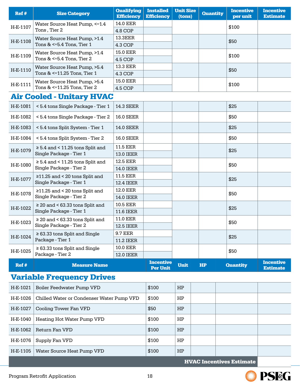| Ref#     | <b>Size Category</b>                                            | <b>Qualifying</b><br><b>Efficiency</b> | <b>Installed</b><br><b>Efficiency</b> | <b>Unit Size</b><br>(tons) | <b>Quantity</b> | <b>Incentive</b><br>per unit | <b>Incentive</b><br><b>Estimate</b> |
|----------|-----------------------------------------------------------------|----------------------------------------|---------------------------------------|----------------------------|-----------------|------------------------------|-------------------------------------|
|          | Water Source Heat Pump, <= 1.4                                  | 14.0 EER                               |                                       |                            |                 |                              |                                     |
| H-E-1107 | Tons, Tier 2                                                    | 4.8 COP                                |                                       |                            |                 | \$100                        |                                     |
| H-E-1108 | Water Source Heat Pump, >1.4                                    | <b>13.3EER</b>                         |                                       |                            |                 | \$50                         |                                     |
|          | Tons $<=5.4$ Tons, Tier 1                                       | 4.3 COP                                |                                       |                            |                 |                              |                                     |
| H-E-1109 | Water Source Heat Pump, >1.4<br>Tons $<=5.4$ Tons, Tier 2       | 15.0 EER                               |                                       |                            |                 | \$100                        |                                     |
|          | Water Source Heat Pump, >5.4                                    | 4.5 COP<br>13.3 EER                    |                                       |                            |                 |                              |                                     |
| H-E-1110 | Tons & <=11.25 Tons, Tier 1                                     | 4.3 COP                                |                                       |                            |                 | \$50                         |                                     |
|          | Water Source Heat Pump, >5.4                                    | 15.0 EER                               |                                       |                            |                 |                              |                                     |
| H-E-1111 | Tons & <= 11.25 Tons, Tier 2                                    | 4.5 COP                                |                                       |                            |                 | \$100                        |                                     |
|          | <b>Air Cooled - Unitary HVAC</b>                                |                                        |                                       |                            |                 |                              |                                     |
| H-E-1081 | < 5.4 tons Single Package - Tier 1                              | <b>14.3 SEER</b>                       |                                       |                            |                 | \$25                         |                                     |
| H-E-1082 | < 5.4 tons Single Package - Tier 2                              | <b>16.0 SEER</b>                       |                                       |                            |                 | \$50                         |                                     |
| H-E-1083 | < 5.4 tons Split System - Tier 1                                | <b>14.0 SEER</b>                       |                                       |                            |                 | \$25                         |                                     |
| H-E-1084 | < 5.4 tons Split System - Tier 2                                | <b>16.0 SEER</b>                       |                                       |                            |                 | \$50                         |                                     |
|          | $\geq$ 5.4 and < 11.25 tons Split and                           | <b>11.5 EER</b>                        |                                       |                            |                 |                              |                                     |
| H-E-1079 | Single Package - Tier 1                                         | <b>13.0 IEER</b>                       |                                       |                            |                 | \$25                         |                                     |
| H-E-1080 | $\geq$ 5.4 and < 11.25 tons Split and                           | <b>12.5 EER</b>                        |                                       |                            |                 | \$50                         |                                     |
|          | Single Package - Tier 2                                         | <b>14.0 IEER</b>                       |                                       |                            |                 |                              |                                     |
| H-E-1077 | $\geq$ 11.25 and < 20 tons Split and<br>Single Package - Tier 1 | 11.5 EER<br>12.4 IEER                  |                                       |                            |                 | \$25                         |                                     |
|          | $\geq$ 11.25 and < 20 tons Split and                            | <b>12.0 EER</b>                        |                                       |                            |                 |                              |                                     |
| H-E-1078 | Single Package - Tier 2                                         | 14.0 IEER                              |                                       |                            |                 | \$50                         |                                     |
| H-E-1022 | $\geq$ 20 and < 63.33 tons Split and                            | 10.5 EER                               |                                       |                            |                 | \$25                         |                                     |
|          | Single Package - Tier 1                                         | 11.6 IEER                              |                                       |                            |                 |                              |                                     |
| H-E-1023 | $\geq$ 20 and < 63.33 tons Split and<br>Single Package - Tier 2 | 11.0 EER<br><b>12.5 IEER</b>           |                                       |                            |                 | \$50                         |                                     |
|          | $\geq 63.33$ tons Split and Single                              | <b>9.7 EER</b>                         |                                       |                            |                 |                              |                                     |
| H-E-1024 | Package - Tier 1                                                | <b>11.2 IEER</b>                       |                                       |                            |                 | \$25                         |                                     |
| H-E-1025 | $\geq 63.33$ tons Split and Single                              | <b>10.0 EER</b>                        |                                       |                            |                 | \$50                         |                                     |
|          | Package - Tier 2                                                | <b>12.0 IEER</b>                       |                                       |                            |                 |                              |                                     |
| Ref #    | <b>Measure Name</b>                                             |                                        | <b>Incentive</b><br><b>Per Unit</b>   | <b>Unit</b>                | HP              | <b>Quantity</b>              | <b>Incentive</b><br><b>Estimate</b> |
|          | <b>Variable Frequency Drives</b>                                |                                        |                                       |                            |                 |                              |                                     |
| H-E-1021 | Boiler Feedwater Pump VFD                                       |                                        | \$100                                 | HP                         |                 |                              |                                     |
| H-E-1026 | Chilled Water or Condenser Water Pump VFD                       |                                        | \$100                                 | HP                         |                 |                              |                                     |
| H-E-1027 | Cooling Tower Fan VFD                                           |                                        | \$50                                  | HP                         |                 |                              |                                     |
| H-E-1040 | Heating Hot Water Pump VFD                                      |                                        | \$100                                 | HP                         |                 |                              |                                     |
| H-E-1062 | Return Fan VFD                                                  |                                        | \$100                                 | HP                         |                 |                              |                                     |
| H-E-1076 | Supply Fan VFD                                                  |                                        | \$100                                 | HP                         |                 |                              |                                     |
| H-E-1105 | Water Source Heat Pump VFD                                      |                                        | \$100                                 | HP                         |                 |                              |                                     |

HVAC Incentives Estimate

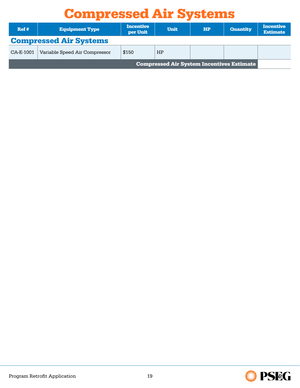## Compressed Air Systems

<span id="page-18-0"></span>

| Ref#      | <b>Equipment Type</b>         | <b>Incentive</b><br>per Unit | <b>Unit</b>                                      | <b>HP</b> | <b>Quantity</b> | <b>Incentive</b><br><b>Estimate</b> |
|-----------|-------------------------------|------------------------------|--------------------------------------------------|-----------|-----------------|-------------------------------------|
|           | <b>Compressed Air Systems</b> |                              |                                                  |           |                 |                                     |
| CA-E-1001 | Variable Speed Air Compressor | \$150                        | <b>HP</b>                                        |           |                 |                                     |
|           |                               |                              | <b>Compressed Air System Incentives Estimate</b> |           |                 |                                     |

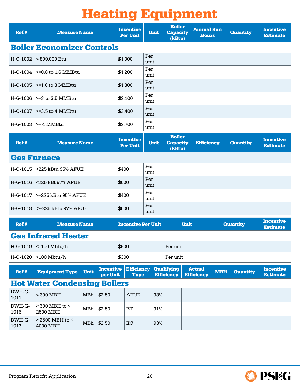# Heating Equipment

<span id="page-19-0"></span>

| Ref #          | <b>Measure Name</b>                  |      |                              | <b>Incentive</b><br><b>Per Unit</b> | <b>Unit</b> | <b>Boiler</b><br><b>Capacity</b><br>(kBtu) |  | <b>Annual Run</b><br><b>Hours</b>  |     | <b>Quantity</b>                     | <b>Incentive</b><br><b>Estimate</b> |
|----------------|--------------------------------------|------|------------------------------|-------------------------------------|-------------|--------------------------------------------|--|------------------------------------|-----|-------------------------------------|-------------------------------------|
|                | <b>Boiler Economizer Controls</b>    |      |                              |                                     |             |                                            |  |                                    |     |                                     |                                     |
| H-G-1002       | < 800,000 Btu                        |      |                              | \$1,000                             | Per<br>unit |                                            |  |                                    |     |                                     |                                     |
| H-G-1004       | $>=0.8$ to 1.6 MMBtu                 |      |                              | \$1,200                             | Per<br>unit |                                            |  |                                    |     |                                     |                                     |
| H-G-1005       | $>=1.6$ to 3 MMBtu                   |      |                              | \$1,800                             | Per<br>unit |                                            |  |                                    |     |                                     |                                     |
| H-G-1006       | $>=$ 3 to 3.5 MMBtu                  |      |                              | \$2,100                             | Per<br>unit |                                            |  |                                    |     |                                     |                                     |
| H-G-1007       | $>=3.5$ to 4 MMBtu                   |      |                              | \$2,400                             | Per<br>unit |                                            |  |                                    |     |                                     |                                     |
| H-G-1003       | $> = 4$ MMBtu                        |      |                              | \$2,700                             | Per<br>unit |                                            |  |                                    |     |                                     |                                     |
| Ref #          | <b>Measure Name</b>                  |      |                              | <b>Incentive</b><br><b>Per Unit</b> | <b>Unit</b> | <b>Boiler</b><br><b>Capacity</b><br>(kBtu) |  | <b>Efficiency</b>                  |     | <b>Quantity</b>                     | <b>Incentive</b><br><b>Estimate</b> |
|                | <b>Gas Furnace</b>                   |      |                              |                                     |             |                                            |  |                                    |     |                                     |                                     |
| H-G-1015       | <225 kBtu 95% AFUE                   |      |                              | \$400                               | Per<br>unit |                                            |  |                                    |     |                                     |                                     |
| H-G-1016       | <225 kBt 97% AFUE                    |      |                              | \$600                               | Per<br>unit |                                            |  |                                    |     |                                     |                                     |
| H-G-1017       | >=225 kBtu 95% AFUE                  |      |                              | \$400                               | Per<br>unit |                                            |  |                                    |     |                                     |                                     |
| H-G-1018       | >=225 kBtu 97% AFUE                  |      |                              | \$600                               | Per<br>unit |                                            |  |                                    |     |                                     |                                     |
| Ref #          | <b>Measure Name</b>                  |      |                              | <b>Incentive Per Unit</b>           |             | <b>Unit</b>                                |  | <b>Quantity</b>                    |     | <b>Incentive</b><br><b>Estimate</b> |                                     |
|                | <b>Gas Infrared Heater</b>           |      |                              |                                     |             |                                            |  |                                    |     |                                     |                                     |
| H-G-1019       | $\leq$ 100 Mbtu/h                    |      |                              | \$500                               |             | Per unit                                   |  |                                    |     |                                     |                                     |
| H-G-1020       | $>100$ Mbtu/h                        |      |                              | \$300                               |             | Per unit                                   |  |                                    |     |                                     |                                     |
| Ref#           | <b>Equipment Type</b>                | Unit | <b>Incentive</b><br>per Unit | <b>Efficiency</b><br><b>Type</b>    |             | <b>Qualifying</b><br><b>Efficiency</b>     |  | <b>Actual</b><br><b>Efficiency</b> | MBH | <b>Quantity</b>                     | <b>Incentive</b><br><b>Estimate</b> |
|                | <b>Hot Water Condensing Boilers</b>  |      |                              |                                     |             |                                            |  |                                    |     |                                     |                                     |
| DWH-G-<br>1011 | $< 300$ MBH                          | MBh  | \$2.50                       | <b>AFUE</b>                         | 93%         |                                            |  |                                    |     |                                     |                                     |
| DWH-G-<br>1015 | $\geq$ 300 MBH to $\leq$<br>2500 MBH | MBh  | \$2.50                       | ET                                  | 91%         |                                            |  |                                    |     |                                     |                                     |
| DWH-G-<br>1013 | > 2500 MBH to <<br>4000 MBH          | MBh  | \$2.50                       | EC                                  | 93%         |                                            |  |                                    |     |                                     |                                     |

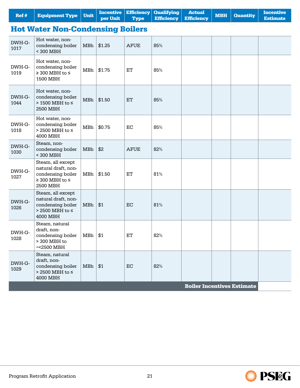| Ref#           | <b>Equipment Type</b>                                                                                 | <b>Unit</b> | <b>Incentive</b><br>per Unit | <b>Efficiency</b><br><b>Type</b> | <b>Qualifying</b><br><b>Efficiency</b> | <b>Actual</b><br><b>Efficiency</b> | <b>MBH</b> | <b>Quantity</b>                   | <b>Incentive</b><br><b>Estimate</b> |
|----------------|-------------------------------------------------------------------------------------------------------|-------------|------------------------------|----------------------------------|----------------------------------------|------------------------------------|------------|-----------------------------------|-------------------------------------|
|                | <b>Hot Water Non-Condensing Boilers</b>                                                               |             |                              |                                  |                                        |                                    |            |                                   |                                     |
| DWH-G-<br>1017 | Hot water, non-<br>condensing boiler<br>< 300 MBH                                                     | MBh         | \$1.25                       | <b>AFUE</b>                      | 85%                                    |                                    |            |                                   |                                     |
| DWH-G-<br>1019 | Hot water, non-<br>condensing boiler<br>$\geq$ 300 MBH to $\leq$<br>1500 MBH                          | MBh         | \$1.75                       | ET                               | 85%                                    |                                    |            |                                   |                                     |
| DWH-G-<br>1044 | Hot water, non-<br>condensing boiler<br>> 1500 MBH to ≤<br>2500 MBH                                   | MBh         | \$1.50                       | ET                               | 85%                                    |                                    |            |                                   |                                     |
| DWH-G-<br>1018 | Hot water, non-<br>condensing boiler<br>> 2500 MBH to ≤<br>4000 MBH                                   | MBh         | \$0.75                       | EC                               | 85%                                    |                                    |            |                                   |                                     |
| DWH-G-<br>1030 | Steam, non-<br>condensing boiler<br>< 300 MBH                                                         | MBh         | \$2                          | <b>AFUE</b>                      | 82%                                    |                                    |            |                                   |                                     |
| DWH-G-<br>1027 | Steam, all except<br>natural draft, non-<br>condensing boiler<br>$\geq$ 300 MBH to $\leq$<br>2500 MBH | MBh         | \$1.50                       | ET                               | 81%                                    |                                    |            |                                   |                                     |
| DWH-G-<br>1026 | Steam, all except<br>natural draft, non-<br>condensing boiler<br>$>$ 2500 MBH to $\le$<br>4000 MBH    | MBh         | \$1                          | EC                               | 81%                                    |                                    |            |                                   |                                     |
| DWH-G-<br>1028 | Steam, natural<br>draft, non-<br>condensing boiler<br>> 300 MBH to<br>$=<2500$ MBH                    | MBh         | \$1                          | ET                               | 82%                                    |                                    |            |                                   |                                     |
| DWH-G-<br>1029 | Steam, natural<br>draft, non-<br>condensing boiler<br>> 2500 MBH to ≤<br>4000 MBH                     | MBh         | \$1                          | EC                               | 82%                                    |                                    |            |                                   |                                     |
|                |                                                                                                       |             |                              |                                  |                                        |                                    |            | <b>Boiler Incentives Estimate</b> |                                     |